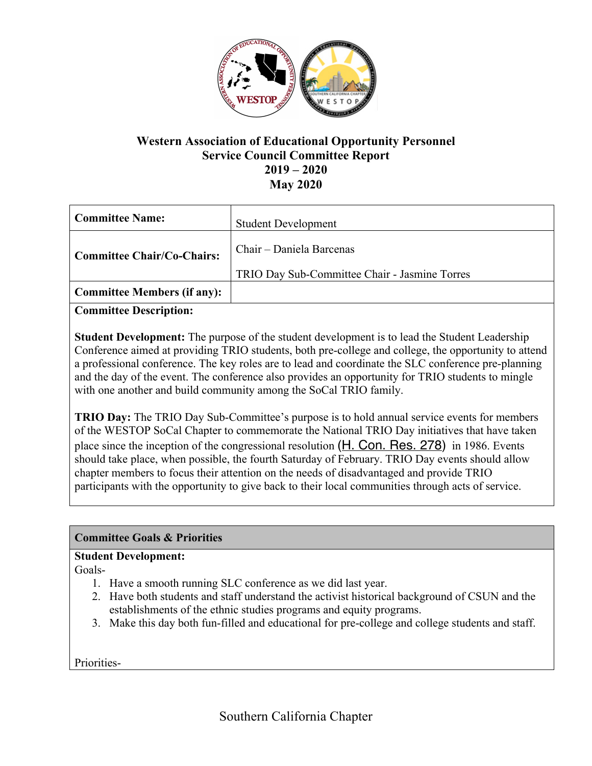

## **Western Association of Educational Opportunity Personnel Service Council Committee Report 2019 – 2020 May 2020**

| <b>Committee Name:</b>             | <b>Student Development</b>                                                |
|------------------------------------|---------------------------------------------------------------------------|
| <b>Committee Chair/Co-Chairs:</b>  | Chair – Daniela Barcenas<br>TRIO Day Sub-Committee Chair - Jasmine Torres |
| <b>Committee Members (if any):</b> |                                                                           |

**Committee Description:**

**Student Development:** The purpose of the student development is to lead the Student Leadership Conference aimed at providing TRIO students, both pre-college and college, the opportunity to attend a professional conference. The key roles are to lead and coordinate the SLC conference pre-planning and the day of the event. The conference also provides an opportunity for TRIO students to mingle with one another and build community among the SoCal TRIO family.

**TRIO Day:** The TRIO Day Sub-Committee's purpose is to hold annual service events for members of the WESTOP SoCal Chapter to commemorate the National TRIO Day initiatives that have taken place since the inception of the congressional resolution (H. Con. Res. 278) in 1986. Events should take place, when possible, the fourth Saturday of February. TRIO Day events should allow chapter members to focus their attention on the needs of disadvantaged and provide TRIO participants with the opportunity to give back to their local communities through acts of service.

#### **Committee Goals & Priorities**

#### **Student Development:**

Goals-

- 1. Have a smooth running SLC conference as we did last year.
- 2. Have both students and staff understand the activist historical background of CSUN and the establishments of the ethnic studies programs and equity programs.
- 3. Make this day both fun-filled and educational for pre-college and college students and staff.

Priorities-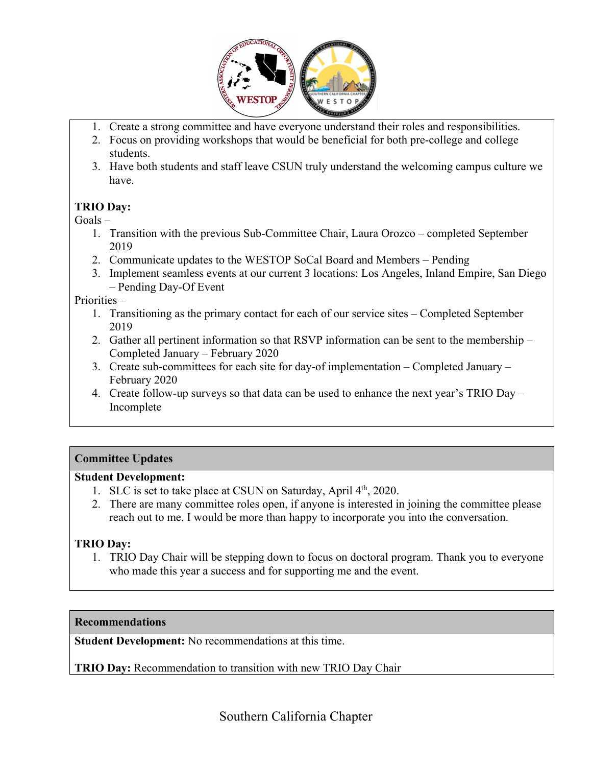

- 1. Create a strong committee and have everyone understand their roles and responsibilities.
- 2. Focus on providing workshops that would be beneficial for both pre-college and college students.
- 3. Have both students and staff leave CSUN truly understand the welcoming campus culture we have.

## **TRIO Day:**

 $Goals -$ 

- 1. Transition with the previous Sub-Committee Chair, Laura Orozco completed September 2019
- 2. Communicate updates to the WESTOP SoCal Board and Members Pending
- 3. Implement seamless events at our current 3 locations: Los Angeles, Inland Empire, San Diego – Pending Day-Of Event

Priorities –

- 1. Transitioning as the primary contact for each of our service sites Completed September 2019
- 2. Gather all pertinent information so that RSVP information can be sent to the membership Completed January – February 2020
- 3. Create sub-committees for each site for day-of implementation Completed January February 2020
- 4. Create follow-up surveys so that data can be used to enhance the next year's TRIO Day Incomplete

## **Committee Updates**

## **Student Development:**

- 1. SLC is set to take place at CSUN on Saturday, April  $4<sup>th</sup>$ , 2020.
- 2. There are many committee roles open, if anyone is interested in joining the committee please reach out to me. I would be more than happy to incorporate you into the conversation.

## **TRIO Day:**

1. TRIO Day Chair will be stepping down to focus on doctoral program. Thank you to everyone who made this year a success and for supporting me and the event.

## **Recommendations**

**Student Development:** No recommendations at this time.

**TRIO Day:** Recommendation to transition with new TRIO Day Chair